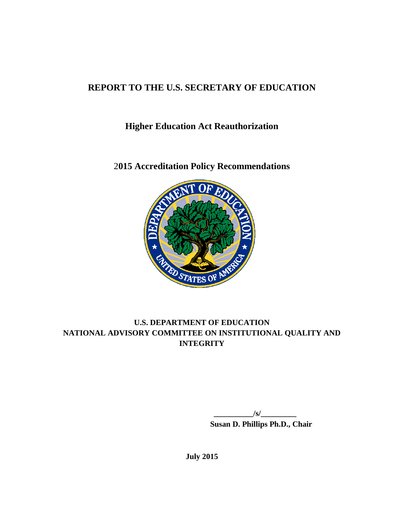# **REPORT TO THE U.S. SECRETARY OF EDUCATION**

**Higher Education Act Reauthorization**

2**015 Accreditation Policy Recommendations**



# **U.S. DEPARTMENT OF EDUCATION NATIONAL ADVISORY COMMITTEE ON INSTITUTIONAL QUALITY AND INTEGRITY**

 $\sqrt{s}$ / **Susan D. Phillips Ph.D., Chair**

**July 2015**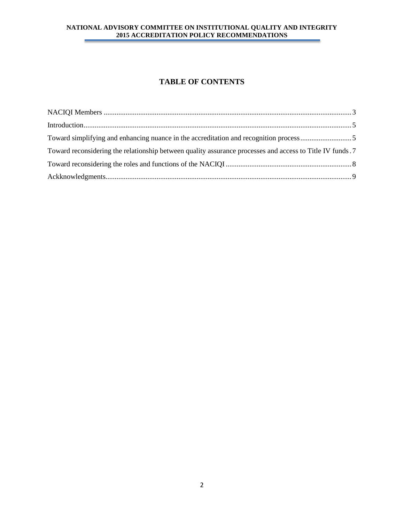# **TABLE OF CONTENTS**

| Toward reconsidering the relationship between quality assurance processes and access to Title IV funds.7 |  |
|----------------------------------------------------------------------------------------------------------|--|
|                                                                                                          |  |
|                                                                                                          |  |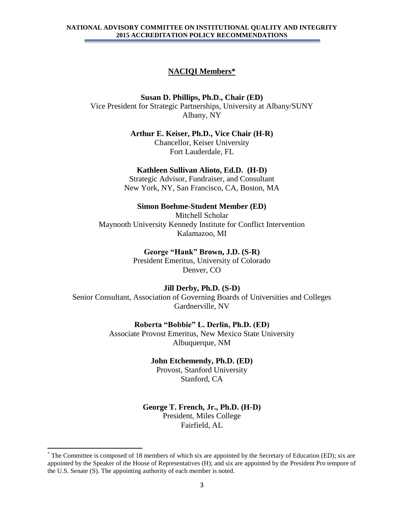#### **NACIQI Members\***

<span id="page-2-0"></span>**Susan D. Phillips, Ph.D., Chair (ED)** Vice President for Strategic Partnerships, University at Albany/SUNY Albany, NY

> **Arthur E. Keiser, Ph.D., Vice Chair (H-R)** Chancellor, Keiser University Fort Lauderdale, FL

### **Kathleen Sullivan Alioto, Ed.D. (H-D)**

Strategic Advisor, Fundraiser, and Consultant New York, NY, San Francisco, CA, Boston, MA

**Simon Boehme-Student Member (ED)**

Mitchell Scholar Maynooth University Kennedy Institute for Conflict Intervention Kalamazoo, MI

> **George "Hank" Brown, J.D. (S-R)** President Emeritus, University of Colorado Denver, CO

### **Jill Derby, Ph.D. (S-D)**

Senior Consultant, Association of Governing Boards of Universities and Colleges Gardnerville, NV

#### **Roberta "Bobbie" L. Derlin, Ph.D. (ED)**

Associate Provost Emeritus, New Mexico State University Albuquerque, NM

#### **John Etchemendy, Ph.D. (ED)**

Provost, Stanford University Stanford, CA

#### **George T. French, Jr., Ph.D. (H-D)**

President, Miles College Fairfield, AL

 $\overline{\phantom{a}}$ 

<sup>\*</sup> The Committee is composed of 18 members of which six are appointed by the Secretary of Education (ED); six are appointed by the Speaker of the House of Representatives (H); and six are appointed by the President Pro tempore of the U.S. Senate (S). The appointing authority of each member is noted.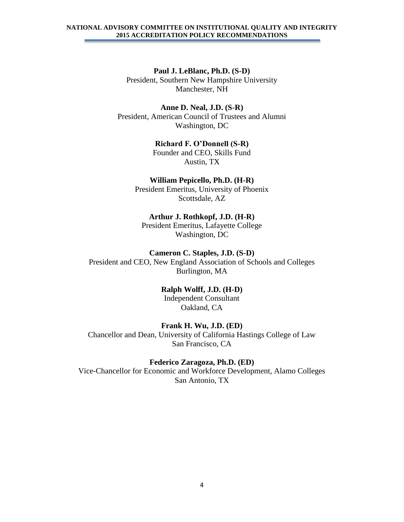**Paul J. LeBlanc, Ph.D. (S-D)** President, Southern New Hampshire University Manchester, NH

**Anne D. Neal, J.D. (S-R)** President, American Council of Trustees and Alumni Washington, DC

> **Richard F. O'Donnell (S-R)** Founder and CEO, Skills Fund Austin, TX

**William Pepicello, Ph.D. (H-R)** President Emeritus, University of Phoenix Scottsdale, AZ

**Arthur J. Rothkopf, J.D. (H-R)** President Emeritus, Lafayette College Washington, DC

**Cameron C. Staples, J.D. (S-D)** President and CEO, New England Association of Schools and Colleges Burlington, MA

> **Ralph Wolff, J.D. (H-D)** Independent Consultant Oakland, CA

**Frank H. Wu, J.D. (ED)** Chancellor and Dean, University of California Hastings College of Law San Francisco, CA

**Federico Zaragoza, Ph.D. (ED)** Vice-Chancellor for Economic and Workforce Development, Alamo Colleges San Antonio, TX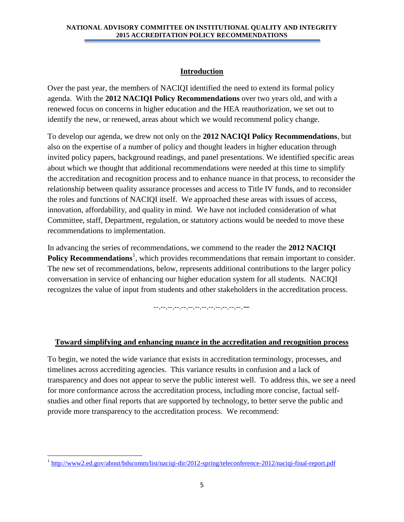## **Introduction**

<span id="page-4-0"></span>Over the past year, the members of NACIQI identified the need to extend its formal policy agenda. With the **2012 NACIQI Policy Recommendations** over two years old, and with a renewed focus on concerns in higher education and the HEA reauthorization, we set out to identify the new, or renewed, areas about which we would recommend policy change.

To develop our agenda, we drew not only on the **2012 NACIQI Policy Recommendations**, but also on the expertise of a number of policy and thought leaders in higher education through invited policy papers, background readings, and panel presentations. We identified specific areas about which we thought that additional recommendations were needed at this time to simplify the accreditation and recognition process and to enhance nuance in that process, to reconsider the relationship between quality assurance processes and access to Title IV funds, and to reconsider the roles and functions of NACIQI itself. We approached these areas with issues of access, innovation, affordability, and quality in mind. We have not included consideration of what Committee, staff, Department, regulation, or statutory actions would be needed to move these recommendations to implementation.

In advancing the series of recommendations, we commend to the reader the **2012 NACIQI Policy Recommendations**<sup>1</sup>, which provides recommendations that remain important to consider. The new set of recommendations, below, represents additional contributions to the larger policy conversation in service of enhancing our higher education system for all students. NACIQI recognizes the value of input from students and other stakeholders in the accreditation process.

--.--.--.--.--.--.--.--.--.--.--.--.--.—

## <span id="page-4-1"></span>**Toward simplifying and enhancing nuance in the accreditation and recognition process**

To begin, we noted the wide variance that exists in accreditation terminology, processes, and timelines across accrediting agencies. This variance results in confusion and a lack of transparency and does not appear to serve the public interest well. To address this, we see a need for more conformance across the accreditation process, including more concise, factual selfstudies and other final reports that are supported by technology, to better serve the public and provide more transparency to the accreditation process. We recommend:

<sup>&</sup>lt;sup>1</sup> <http://www2.ed.gov/about/bdscomm/list/naciqi-dir/2012-spring/teleconference-2012/naciqi-final-report.pdf>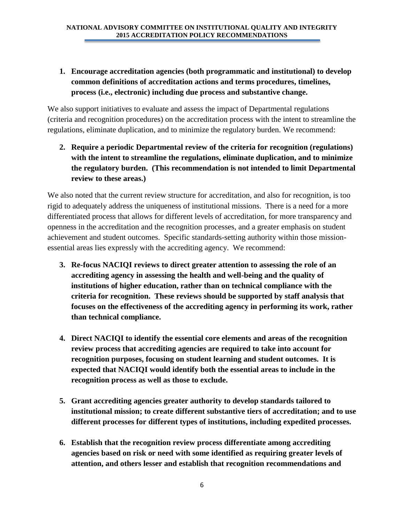**1. Encourage accreditation agencies (both programmatic and institutional) to develop common definitions of accreditation actions and terms procedures, timelines, process (i.e., electronic) including due process and substantive change.** 

We also support initiatives to evaluate and assess the impact of Departmental regulations (criteria and recognition procedures) on the accreditation process with the intent to streamline the regulations, eliminate duplication, and to minimize the regulatory burden. We recommend:

**2. Require a periodic Departmental review of the criteria for recognition (regulations) with the intent to streamline the regulations, eliminate duplication, and to minimize the regulatory burden. (This recommendation is not intended to limit Departmental review to these areas.)**

We also noted that the current review structure for accreditation, and also for recognition, is too rigid to adequately address the uniqueness of institutional missions. There is a need for a more differentiated process that allows for different levels of accreditation, for more transparency and openness in the accreditation and the recognition processes, and a greater emphasis on student achievement and student outcomes. Specific standards-setting authority within those missionessential areas lies expressly with the accrediting agency. We recommend:

- **3. Re-focus NACIQI reviews to direct greater attention to assessing the role of an accrediting agency in assessing the health and well-being and the quality of institutions of higher education, rather than on technical compliance with the criteria for recognition. These reviews should be supported by staff analysis that focuses on the effectiveness of the accrediting agency in performing its work, rather than technical compliance.**
- **4. Direct NACIQI to identify the essential core elements and areas of the recognition review process that accrediting agencies are required to take into account for recognition purposes, focusing on student learning and student outcomes. It is expected that NACIQI would identify both the essential areas to include in the recognition process as well as those to exclude.**
- **5. Grant accrediting agencies greater authority to develop standards tailored to institutional mission; to create different substantive tiers of accreditation; and to use different processes for different types of institutions, including expedited processes.**
- **6. Establish that the recognition review process differentiate among accrediting agencies based on risk or need with some identified as requiring greater levels of attention, and others lesser and establish that recognition recommendations and**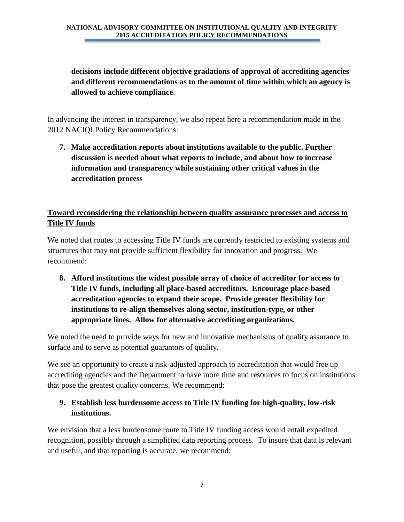# **decisions include different objective gradations of approval of accrediting agencies and different recommendations as to the amount of time within which an agency is allowed to achieve compliance.**

In advancing the interest in transparency, we also repeat here a recommendation made in the 2012 NACIQI Policy Recommendations:

**7. Make accreditation reports about institutions available to the public. Further discussion is needed about what reports to include, and about how to increase information and transparency while sustaining other critical values in the accreditation process** 

# <span id="page-6-0"></span>**Toward reconsidering the relationship between quality assurance processes and access to Title IV funds**

We noted that routes to accessing Title IV funds are currently restricted to existing systems and structures that may not provide sufficient flexibility for innovation and progress. We recommend:

**8. Afford institutions the widest possible array of choice of accreditor for access to Title IV funds, including all place-based accreditors. Encourage place-based accreditation agencies to expand their scope. Provide greater flexibility for institutions to re-align themselves along sector, institution-type, or other appropriate lines. Allow for alternative accrediting organizations.**

We noted the need to provide ways for new and innovative mechanisms of quality assurance to surface and to serve as potential guarantors of quality.

We see an opportunity to create a risk-adjusted approach to accreditation that would free up accrediting agencies and the Department to have more time and resources to focus on institutions that pose the greatest quality concerns. We recommend:

# **9. Establish less burdensome access to Title IV funding for high-quality, low-risk institutions.**

We envision that a less burdensome route to Title IV funding access would entail expedited recognition, possibly through a simplified data reporting process. To insure that data is relevant and useful, and that reporting is accurate, we recommend: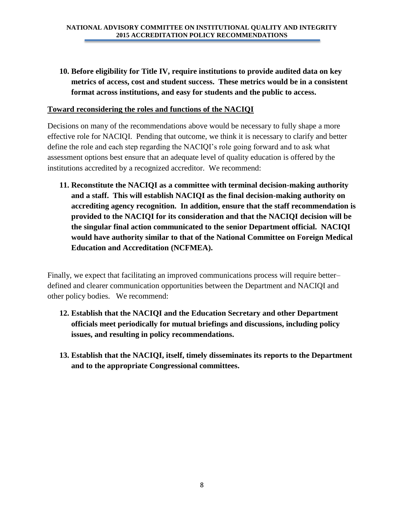**10. Before eligibility for Title IV, require institutions to provide audited data on key metrics of access, cost and student success. These metrics would be in a consistent format across institutions, and easy for students and the public to access.** 

## <span id="page-7-0"></span>**Toward reconsidering the roles and functions of the NACIQI**

Decisions on many of the recommendations above would be necessary to fully shape a more effective role for NACIQI. Pending that outcome, we think it is necessary to clarify and better define the role and each step regarding the NACIQI's role going forward and to ask what assessment options best ensure that an adequate level of quality education is offered by the institutions accredited by a recognized accreditor. We recommend:

**11. Reconstitute the NACIQI as a committee with terminal decision-making authority and a staff. This will establish NACIQI as the final decision-making authority on accrediting agency recognition. In addition, ensure that the staff recommendation is provided to the NACIQI for its consideration and that the NACIQI decision will be the singular final action communicated to the senior Department official. NACIQI would have authority similar to that of the National Committee on Foreign Medical Education and Accreditation (NCFMEA).**

Finally, we expect that facilitating an improved communications process will require better– defined and clearer communication opportunities between the Department and NACIQI and other policy bodies. We recommend:

- **12. Establish that the NACIQI and the Education Secretary and other Department officials meet periodically for mutual briefings and discussions, including policy issues, and resulting in policy recommendations.**
- **13. Establish that the NACIQI, itself, timely disseminates its reports to the Department and to the appropriate Congressional committees.**